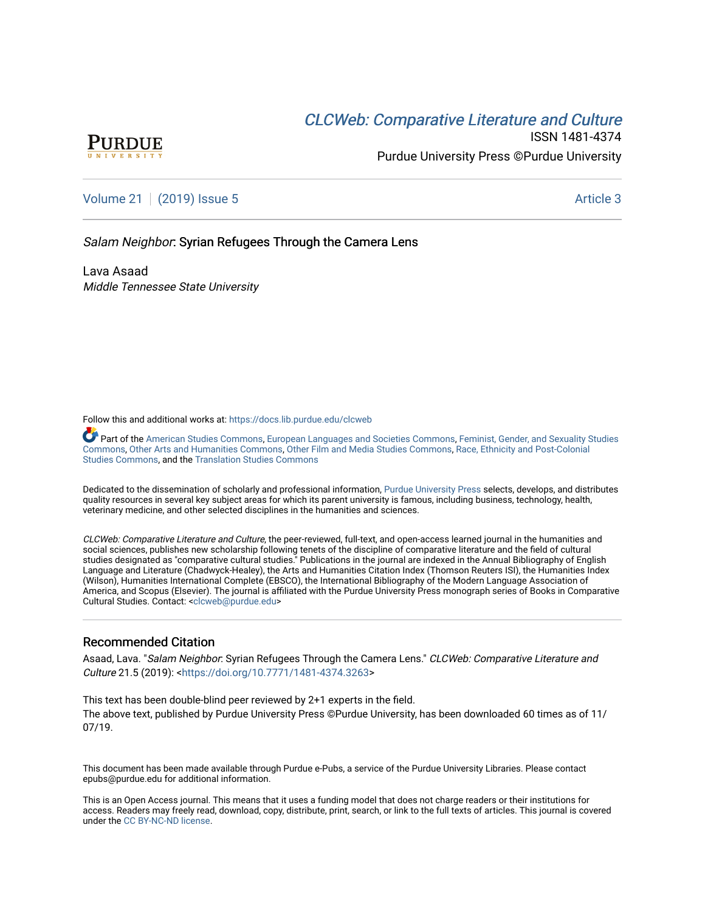# CLCW[eb: Comparative Liter](https://docs.lib.purdue.edu/clcweb)ature and Culture



ISSN 1481-4374 Purdue University Press ©Purdue University

[Volume 21](https://docs.lib.purdue.edu/clcweb/vol21) | [\(2019\) Issue 5](https://docs.lib.purdue.edu/clcweb/vol21/iss5) Article 3

Salam Neighbor: Syrian Refugees Through the Camera Lens

Lava Asaad Middle Tennessee State University

Follow this and additional works at: [https://docs.lib.purdue.edu/clcweb](https://docs.lib.purdue.edu/clcweb?utm_source=docs.lib.purdue.edu%2Fclcweb%2Fvol21%2Fiss5%2F3&utm_medium=PDF&utm_campaign=PDFCoverPages)

Part of the [American Studies Commons](http://network.bepress.com/hgg/discipline/439?utm_source=docs.lib.purdue.edu%2Fclcweb%2Fvol21%2Fiss5%2F3&utm_medium=PDF&utm_campaign=PDFCoverPages), [European Languages and Societies Commons](http://network.bepress.com/hgg/discipline/482?utm_source=docs.lib.purdue.edu%2Fclcweb%2Fvol21%2Fiss5%2F3&utm_medium=PDF&utm_campaign=PDFCoverPages), Feminist, Gender, and Sexuality Studies [Commons,](http://network.bepress.com/hgg/discipline/559?utm_source=docs.lib.purdue.edu%2Fclcweb%2Fvol21%2Fiss5%2F3&utm_medium=PDF&utm_campaign=PDFCoverPages) [Other Arts and Humanities Commons,](http://network.bepress.com/hgg/discipline/577?utm_source=docs.lib.purdue.edu%2Fclcweb%2Fvol21%2Fiss5%2F3&utm_medium=PDF&utm_campaign=PDFCoverPages) [Other Film and Media Studies Commons,](http://network.bepress.com/hgg/discipline/565?utm_source=docs.lib.purdue.edu%2Fclcweb%2Fvol21%2Fiss5%2F3&utm_medium=PDF&utm_campaign=PDFCoverPages) [Race, Ethnicity and Post-Colonial](http://network.bepress.com/hgg/discipline/566?utm_source=docs.lib.purdue.edu%2Fclcweb%2Fvol21%2Fiss5%2F3&utm_medium=PDF&utm_campaign=PDFCoverPages)  [Studies Commons](http://network.bepress.com/hgg/discipline/566?utm_source=docs.lib.purdue.edu%2Fclcweb%2Fvol21%2Fiss5%2F3&utm_medium=PDF&utm_campaign=PDFCoverPages), and the [Translation Studies Commons](http://network.bepress.com/hgg/discipline/1312?utm_source=docs.lib.purdue.edu%2Fclcweb%2Fvol21%2Fiss5%2F3&utm_medium=PDF&utm_campaign=PDFCoverPages) 

Dedicated to the dissemination of scholarly and professional information, [Purdue University Press](http://www.thepress.purdue.edu/) selects, develops, and distributes quality resources in several key subject areas for which its parent university is famous, including business, technology, health, veterinary medicine, and other selected disciplines in the humanities and sciences.

CLCWeb: Comparative Literature and Culture, the peer-reviewed, full-text, and open-access learned journal in the humanities and social sciences, publishes new scholarship following tenets of the discipline of comparative literature and the field of cultural studies designated as "comparative cultural studies." Publications in the journal are indexed in the Annual Bibliography of English Language and Literature (Chadwyck-Healey), the Arts and Humanities Citation Index (Thomson Reuters ISI), the Humanities Index (Wilson), Humanities International Complete (EBSCO), the International Bibliography of the Modern Language Association of America, and Scopus (Elsevier). The journal is affiliated with the Purdue University Press monograph series of Books in Comparative Cultural Studies. Contact: [<clcweb@purdue.edu](mailto:clcweb@purdue.edu)>

### Recommended Citation

Asaad, Lava. "Salam Neighbor. Syrian Refugees Through the Camera Lens." CLCWeb: Comparative Literature and Culture 21.5 (2019): <[https://doi.org/10.7771/1481-4374.3263>](https://doi.org/10.7771/1481-4374.3263)

This text has been double-blind peer reviewed by 2+1 experts in the field. The above text, published by Purdue University Press ©Purdue University, has been downloaded 60 times as of 11/ 07/19.

This document has been made available through Purdue e-Pubs, a service of the Purdue University Libraries. Please contact epubs@purdue.edu for additional information.

This is an Open Access journal. This means that it uses a funding model that does not charge readers or their institutions for access. Readers may freely read, download, copy, distribute, print, search, or link to the full texts of articles. This journal is covered under the [CC BY-NC-ND license.](https://creativecommons.org/licenses/by-nc-nd/4.0/)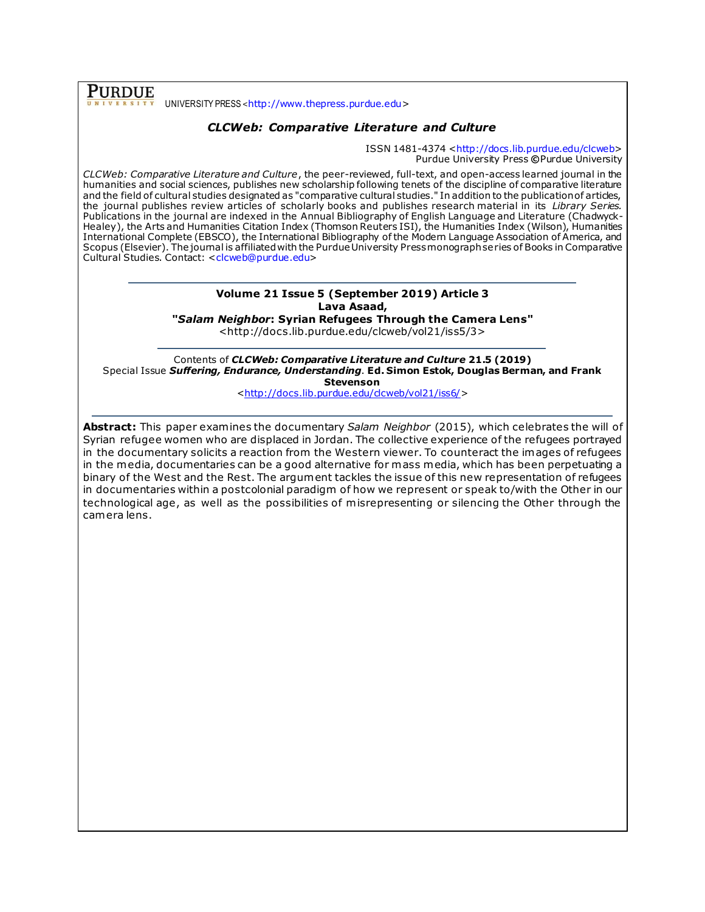**PURDUE** UNIVERSITY PRESS <[http://www.thepress.purdue.edu](http://www.thepress.purdue.edu/)>

## *CLCWeb: Comparative Literature and Culture*

ISSN 1481-4374 [<http://docs.lib.purdue.edu/clcweb>](http://docs.lib.purdue.edu/clcweb) Purdue University Press **©**Purdue University

*CLCWeb: Comparative Literature and Culture*, the peer-reviewed, full-text, and open-access learned journal in the humanities and social sciences, publishes new scholarship following tenets of the discipline of comparative literature and the field of cultural studies designated as "comparative cultural studies." In addition to the publication of articles, the journal publishes review articles of scholarly books and publishes research material in its *Library Series.*  Publications in the journal are indexed in the Annual Bibliography of English Language and Literature (Chadwyck-Healey), the Arts and Humanities Citation Index (Thomson Reuters ISI), the Humanities Index (Wilson), Humanities International Complete (EBSCO), the International Bibliography of the Modern Language Association of America, and Scopus (Elsevier). The journal is affiliated with the Purdue University Press monograph series of Books in Comparative Cultural Studies. Contact: [<clcweb@purdue.edu>](mailto:clcweb@purdue.edu)

## **Volume 21 Issue 5 (September 2019) Article 3 Lava Asaad,**

**"***Salam Neighbor***: Syrian Refugees Through the Camera Lens"**

<http://docs.lib.purdue.edu/clcweb/vol21/iss5/3>

Contents of *CLCWeb: Comparative Literature and Culture* **21.5 (2019)** Special Issue *Suffering, Endurance, Understanding*. **Ed. Simon Estok, Douglas Berman, and Frank Stevenson**

[<http://docs.lib.purdue.edu/clcweb/vol21/iss6/>](http://docs.lib.purdue.edu/clcweb/vol21/iss6/)

**Abstract:** This paper examines the documentary *Salam Neighbor* (2015), which celebrates the will of Syrian refugee women who are displaced in Jordan. The collective experience of the refugees portrayed in the documentary solicits a reaction from the Western viewer. To counteract the images of refugees in the media, documentaries can be a good alternative for mass media, which has been perpetuating a binary of the West and the Rest. The argument tackles the issue of this new representation of refugees in documentaries within a postcolonial paradigm of how we represent or speak to/with the Other in our technological age, as well as the possibilities of misrepresenting or silencing the Other through the camera lens.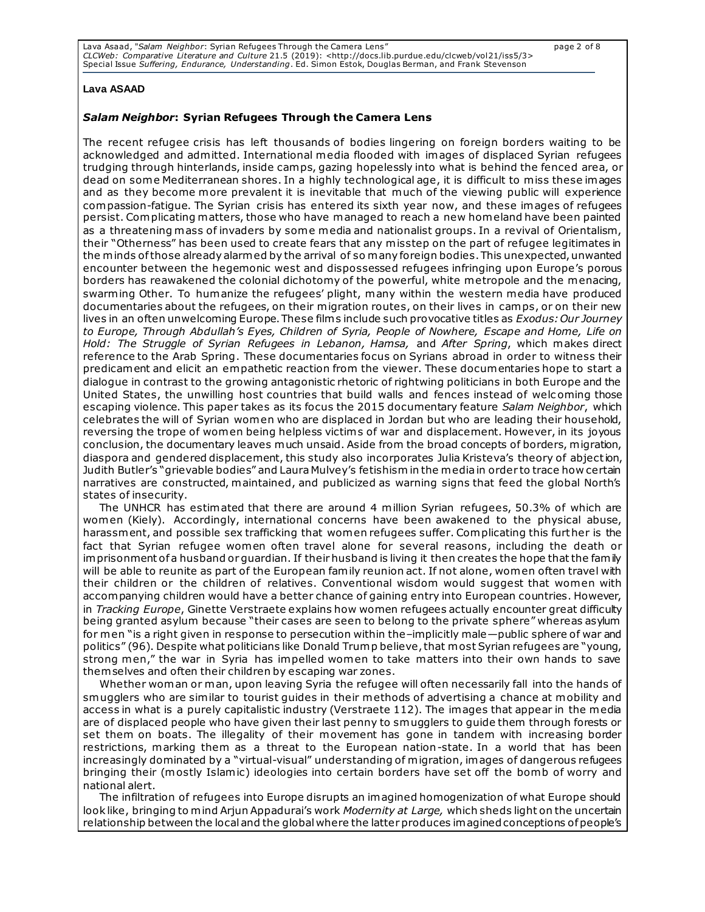| Lava Asaad, "Salam Neighbor: Syrian Refugees Through the Camera Lens"                                                          | page 2 of 8 |
|--------------------------------------------------------------------------------------------------------------------------------|-------------|
| CLCWeb: Comparative Literature and Culture 21.5 (2019): <http: 3="" clcweb="" docs.lib.purdue.edu="" iss5="" vol21=""></http:> |             |
| Special Issue Suffering, Endurance, Understanding. Ed. Simon Estok, Douglas Berman, and Frank Stevenson                        |             |

#### **Lava ASAAD**

#### *Salam Neighbor***: Syrian Refugees Through the Camera Lens**

The recent refugee crisis has left thousands of bodies lingering on foreign borders waiting to be acknowledged and admitted. International media flooded with images of displaced Syrian refugees trudging through hinterlands, inside camps, gazing hopelessly into what is behind the fenced area, or dead on some Mediterranean shores. In a highly technological age, it is difficult to miss these images and as they become more prevalent it is inevitable that much of the viewing public will experience compassion-fatigue. The Syrian crisis has entered its sixth year now, and these images of refugees persist. Complicating matters, those who have managed to reach a new homeland have been painted as a threatening mass of invaders by some media and nationalist groups. In a revival of Orientalism, their "Otherness" has been used to create fears that any misstep on the part of refugee legitimates in the minds of those already alarmed by the arrival of so many foreign bodies. This unexpected, unwanted encounter between the hegemonic west and dispossessed refugees infringing upon Europe's porous borders has reawakened the colonial dichotomy of the powerful, white metropole and the menacing, swarming Other. To humanize the refugees' plight, many within the western media have produced documentaries about the refugees, on their migration routes, on their lives in camps, or on their new lives in an often unwelcoming Europe. These film s include such provocative titles as *Exodus: Our Journey to Europe, Through Abdullah's Eyes, Children of Syria, People of Nowhere, Escape and Home, Life on Hold: The Struggle of Syrian Refugees in Lebanon, Hamsa,* and *After Spring*, which makes direct reference to the Arab Spring. These documentaries focus on Syrians abroad in order to witness their predicament and elicit an empathetic reaction from the viewer. These documentaries hope to start a dialogue in contrast to the growing antagonistic rhetoric of rightwing politicians in both Europe and the United States, the unwilling host countries that build walls and fences instead of welc oming those escaping violence. This paper takes as its focus the 2015 documentary feature *Salam Neighbor*, which celebrates the will of Syrian women who are displaced in Jordan but who are leading their household, reversing the trope of women being helpless victim s of war and displacement. However, in its joyous conclusion, the documentary leaves much unsaid. Aside from the broad concepts of borders, migration, diaspora and gendered displacement, this study also incorporates Julia Kristeva's theory of abjection, Judith Butler's "grievable bodies" and Laura Mulvey's fetishism in the media in order to trace how certain narratives are constructed, maintained, and publicized as warning signs that feed the global North's states of insecurity.

The UNHCR has estimated that there are around 4 million Syrian refugees, 50.3% of which are women (Kiely). Accordingly, international concerns have been awakened to the physical abuse, harassment, and possible sex trafficking that women refugees suffer. Complicating this further is the fact that Syrian refugee women often travel alone for several reasons, including the death or imprisonment of a husband or guardian. If their husband is living it then creates the hope that the family will be able to reunite as part of the European family reunion act. If not alone, women often travel with their children or the children of relatives. Conventional wisdom would suggest that women with accompanying children would have a better chance of gaining entry into European countries. However, in *Tracking Europe*, Ginette Verstraete explains how women refugees actually encounter great difficulty being granted asylum because "their cases are seen to belong to the private sphere" whereas asylum for men "is a right given in response to persecution within the–implicitly male—public sphere of war and politics" (96). Despite what politicians like Donald Trump believe, that most Syrian refugees are "young, strong men," the war in Syria has impelled women to take matters into their own hands to save themselves and often their children by escaping war zones.

Whether woman or man, upon leaving Syria the refugee will often necessarily fall into the hands of smugglers who are similar to tourist guides in their methods of advertising a chance at mobility and access in what is a purely capitalistic industry (Verstraete 112). The images that appear in the media are of displaced people who have given their last penny to smugglers to guide them through forests or set them on boats. The illegality of their movement has gone in tandem with increasing border restrictions, marking them as a threat to the European nation-state. In a world that has been increasingly dominated by a "virtual-visual" understanding of migration, images of dangerous refugees bringing their (mostly Islamic) ideologies into certain borders have set off the bomb of worry and national alert.

The infiltration of refugees into Europe disrupts an imagined homogenization of what Europe should look like, bringing to mind Arjun Appadurai's work *Modernity at Large,* which sheds light on the uncertain relationship between the local and the global where the latter produces imagined conceptions of people's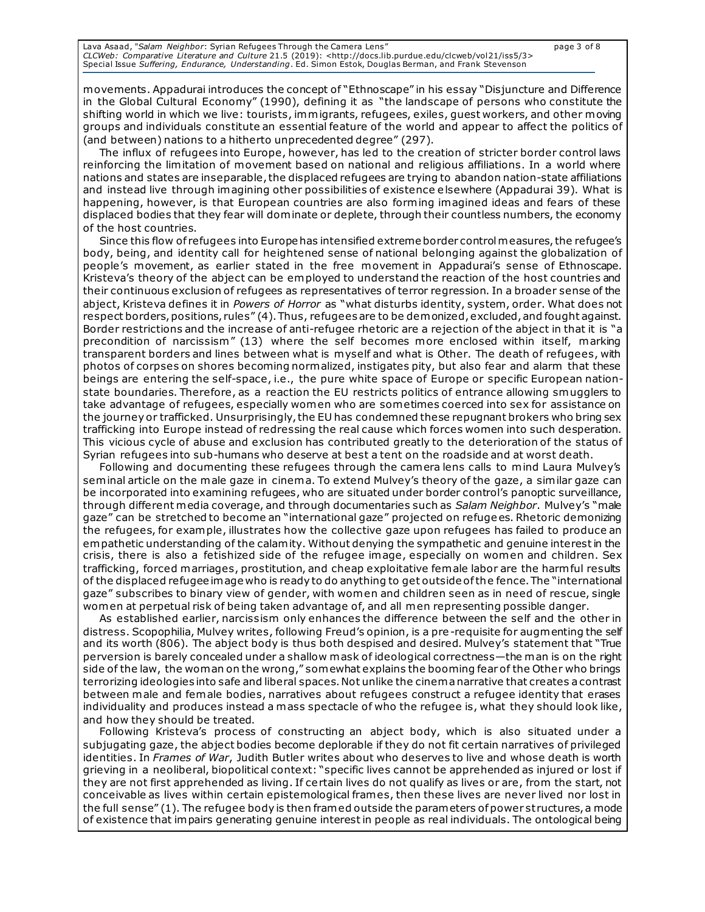Lava Asaad, "*Salam Neighbor*: Syrian Refugees Through the Camera Lens" page 3 of 8 *CLCWeb: Comparative Literature and Culture* 21.5 (2019): <http://docs.lib.purdue.edu/clcweb/vol21/iss5/3> Special Issue *Suffering, Endurance, Understanding*. Ed. Simon Estok, Douglas Berman, and Frank Stevenson

movements. Appadurai introduces the concept of "Ethnoscape" in his essay "Disjuncture and Difference in the Global Cultural Economy" (1990), defining it as "the landscape of persons who constitute the shifting world in which we live: tourists, immigrants, refugees, exiles, guest workers, and other moving groups and individuals constitute an essential feature of the world and appear to affect the politics of (and between) nations to a hitherto unprecedented degree" (297).

The influx of refugees into Europe, however, has led to the creation of stricter border control laws reinforcing the limitation of movement based on national and religious affiliations. In a world where nations and states are inseparable, the displaced refugees are trying to abandon nation-state affiliations and instead live through imagining other possibilities of existence elsewhere (Appadurai 39). What is happening, however, is that European countries are also forming imagined ideas and fears of these displaced bodies that they fear will dominate or deplete, through their countless numbers, the economy of the host countries.

Since this flow of refugees into Europe has intensified extreme border control measures, the refugee's body, being, and identity call for heightened sense of national belonging against the globalization of people's movement, as earlier stated in the free movement in Appadurai's sense of Ethnoscape. Kristeva's theory of the abject can be employed to understand the reaction of the host countries and their continuous exclusion of refugees as representatives of terror regression. In a broader sense of the abject, Kristeva defines it in *Powers of Horror* as "what disturbs identity, system, order. What does not respect borders, positions, rules" (4). Thus, refugees are to be demonized, excluded, and fought against. Border restrictions and the increase of anti-refugee rhetoric are a rejection of the abject in that it is "a precondition of narcissism" (13) where the self becomes more enclosed within itself, marking transparent borders and lines between what is myself and what is Other. The death of refugees, with photos of corpses on shores becoming normalized, instigates pity, but also fear and alarm that these beings are entering the self-space, i.e., the pure white space of Europe or specific European nationstate boundaries. Therefore, as a reaction the EU restricts politics of entrance allowing smugglers to take advantage of refugees, especially women who are sometimes coerced into sex for assistance on the journey or trafficked. Unsurprisingly, the EU has condemned these repugnant brokers who bring sex trafficking into Europe instead of redressing the real cause which forces women into such desperation. This vicious cycle of abuse and exclusion has contributed greatly to the deterioration of the status of Syrian refugees into sub-humans who deserve at best a tent on the roadside and at worst death.

Following and documenting these refugees through the camera lens calls to mind Laura Mulvey's seminal article on the male gaze in cinema. To extend Mulvey's theory of the gaze, a similar gaze can be incorporated into examining refugees, who are situated under border control's panoptic surveillance, through different media coverage, and through documentaries such as *Salam Neighbor*. Mulvey's "male gaze" can be stretched to become an "international gaze" projected on refuge es. Rhetoric demonizing the refugees, for example, illustrates how the collective gaze upon refugees has failed to produce an empathetic understanding of the calamity. Without denying the sympathetic and genuine interest in the crisis, there is also a fetishized side of the refugee image, especially on women and children. Sex trafficking, forced marriages, prostitution, and cheap exploitative female labor are the harm ful results of the displaced refugee image who is ready to do anything to get outside of the fence. The "international gaze" subscribes to binary view of gender, with women and children seen as in need of rescue, single women at perpetual risk of being taken advantage of, and all men representing possible danger.

As established earlier, narcissism only enhances the difference between the self and the other in distress. Scopophilia, Mulvey writes, following Freud's opinion, is a pre-requisite for augmenting the self and its worth (806). The abject body is thus both despised and desired. Mulvey's statement that "True perversion is barely concealed under a shallow mask of ideological correctness—the man is on the right side of the law, the woman on the wrong," somewhat explains the booming fear of the Other who brings terrorizing ideologies into safe and liberal spaces. Not unlike the cinema narrative that creates a contrast between male and female bodies, narratives about refugees construct a refugee identity that erases individuality and produces instead a mass spectacle of who the refugee is, what they should look like, and how they should be treated.

Following Kristeva's process of constructing an abject body, which is also situated under a subjugating gaze, the abject bodies become deplorable if they do not fit certain narratives of privileged identities. In *Frames of War*, Judith Butler writes about who deserves to live and whose death is worth grieving in a neoliberal, biopolitical context: "specific lives cannot be apprehended as injured or lost if they are not first apprehended as living. If certain lives do not qualify as lives or are, from the start, not conceivable as lives within certain epistemological frames, then these lives are never lived nor lost in the full sense" (1). The refugee body is then framed outside the parameters of power st ructures, a mode of existence that impairs generating genuine interest in people as real individuals. The ontological being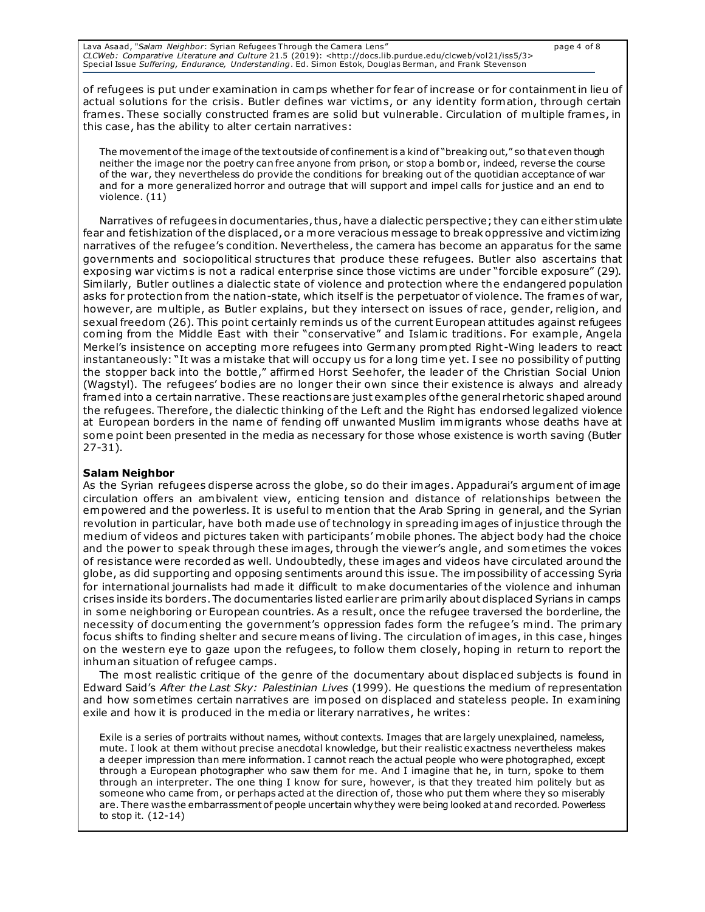of refugees is put under examination in camps whether for fear of increase or for containment in lieu of actual solutions for the crisis. Butler defines war victims, or any identity formation, through certain frames. These socially constructed frames are solid but vulnerable. Circulation of multiple frames, in this case, has the ability to alter certain narratives:

The movement of the image of the text outside of confinement is a kind of "breaking out," so that even though neither the image nor the poetry can free anyone from prison, or stop a bomb or, indeed, reverse the course of the war, they nevertheless do provide the conditions for breaking out of the quotidian acceptance of war and for a more generalized horror and outrage that will support and impel calls for justice and an end to violence. (11)

Narratives of refugees in documentaries, thus, have a dialectic perspective; they can either stimulate fear and fetishization of the displaced, or a more veracious message to break oppressive and victimizing narratives of the refugee's condition. Nevertheless, the camera has become an apparatus for the same governments and sociopolitical structures that produce these refugees. Butler also ascertains that exposing war victims is not a radical enterprise since those victims are under "forcible exposure" (29). Similarly, Butler outlines a dialectic state of violence and protection where the endangered population asks for protection from the nation-state, which itself is the perpetuator of violence. The frames of war, however, are multiple, as Butler explains, but they intersect on issues of race, gender, religion, and sexual freedom (26). This point certainly reminds us of the current European attitudes against refugees coming from the Middle East with their "conservative" and Islamic traditions. For example, Angela Merkel's insistence on accepting more refugees into Germany prompted Right-Wing leaders to react instantaneously: "It was a mistake that will occupy us for a long time yet. I see no possibility of putting the stopper back into the bottle," affirmed Horst Seehofer, the leader of the Christian Social Union (Wagstyl). The refugees' bodies are no longer their own since their existence is always and already framed into a certain narrative. These reactions are just examples of the general rhetoric shaped around the refugees. Therefore, the dialectic thinking of the Left and the Right has endorsed legalized violence at European borders in the name of fending off unwanted Muslim immigrants whose deaths have at some point been presented in the media as necessary for those whose existence is worth saving (Butler 27-31).

#### **Salam Neighbor**

As the Syrian refugees disperse across the globe, so do their images. Appadurai's argument of image circulation offers an ambivalent view, enticing tension and distance of relationships between the empowered and the powerless. It is useful to mention that the Arab Spring in general, and the Syrian revolution in particular, have both made use of technology in spreading images of injustice through the medium of videos and pictures taken with participants' mobile phones. The abject body had the choice and the power to speak through these images, through the viewer's angle, and sometimes the voices of resistance were recorded as well. Undoubtedly, these images and videos have circulated around the globe, as did supporting and opposing sentiments around this issue. The impossibility of accessing Syria for international journalists had made it difficult to make documentaries of the violence and inhuman crises inside its borders. The documentaries listed earlier are primarily about displaced Syrians in camps in some neighboring or European countries. As a result, once the refugee traversed the borderline, the necessity of documenting the government's oppression fades form the refugee's mind. The primary focus shifts to finding shelter and secure means of living. The circulation of images, in this case, hinges on the western eye to gaze upon the refugees, to follow them closely, hoping in return to report the inhuman situation of refugee camps.

The most realistic critique of the genre of the documentary about displac ed subjects is found in Edward Said's *After the Last Sky: Palestinian Lives* (1999). He questions the medium of representation and how sometimes certain narratives are imposed on displaced and stateless people. In examining exile and how it is produced in the media or literary narratives, he writes:

Exile is a series of portraits without names, without contexts. Images that are largely unexplained, nameless, mute. I look at them without precise anecdotal knowledge, but their realistic exactness nevertheless makes a deeper impression than mere information. I cannot reach the actual people who were photographed, except through a European photographer who saw them for me. And I imagine that he, in turn, spoke to them through an interpreter. The one thing I know for sure, however, is that they treated him politely but as someone who came from, or perhaps acted at the direction of, those who put them where they so miserably are. There was the embarrassment of people uncertain why they were being looked at and recorded. Powerless to stop it. (12-14)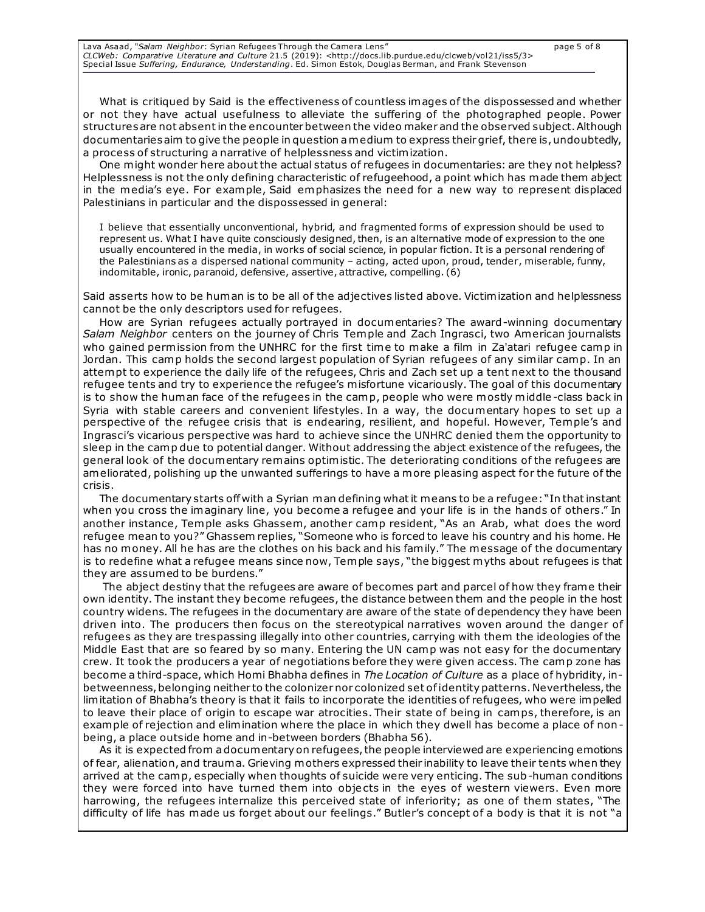| Lava Asaad, "Salam Neighbor: Syrian Refugees Through the Camera Lens"                                                          | page 5 of 8 |
|--------------------------------------------------------------------------------------------------------------------------------|-------------|
| CLCWeb: Comparative Literature and Culture 21.5 (2019): <http: 3="" clcweb="" docs.lib.purdue.edu="" iss5="" vol21=""></http:> |             |
| Special Issue Suffering, Endurance, Understanding. Ed. Simon Estok, Douglas Berman, and Frank Stevenson                        |             |

What is critiqued by Said is the effectiveness of countless images of the dispossessed and whether or not they have actual usefulness to alleviate the suffering of the photographed people. Power structures are not absent in the encounter between the video maker and the observed subject. Although documentaries aim to give the people in question a medium to express their grief, there is, undoubtedly, a process of structuring a narrative of helplessness and victimization.

One might wonder here about the actual status of refugees in documentaries: are they not helpless? Helplessness is not the only defining characteristic of refugeehood, a point which has made them abject in the media's eye. For example, Said emphasizes the need for a new way to represent displaced Palestinians in particular and the dispossessed in general:

I believe that essentially unconventional, hybrid, and fragmented forms of expression should be used to represent us. What I have quite consciously designed, then, is an alternative mode of expression to the one usually encountered in the media, in works of social science, in popular fiction. It is a personal rendering of the Palestinians as a dispersed national community – acting, acted upon, proud, tender, miserable, funny, indomitable, ironic, paranoid, defensive, assertive, attractive, compelling. (6)

Said asserts how to be human is to be all of the adjectives listed above. Victimization and helplessness cannot be the only descriptors used for refugees.

How are Syrian refugees actually portrayed in documentaries? The award-winning documentary *Salam Neighbor* centers on the journey of Chris Temple and Zach Ingrasci, two American journalists who gained permission from the UNHRC for the first time to make a film in Za'atari refugee camp in Jordan. This camp holds the second largest population of Syrian refugees of any similar camp. In an attempt to experience the daily life of the refugees, Chris and Zach set up a tent next to the thousand refugee tents and try to experience the refugee's misfortune vicariously. The goal of this documentary is to show the human face of the refugees in the camp, people who were mostly middle -class back in Syria with stable careers and convenient lifestyles. In a way, the documentary hopes to set up a perspective of the refugee crisis that is endearing, resilient, and hopeful. However, Temple's and Ingrasci's vicarious perspective was hard to achieve since the UNHRC denied them the opportunity to sleep in the camp due to potential danger. Without addressing the abject existence of the refugees, the general look of the documentary remains optimistic. The deteriorating conditions of the refugees are ameliorated, polishing up the unwanted sufferings to have a more pleasing aspect for the future of the crisis.

The documentary starts off with a Syrian man defining what it means to be a refugee: "In that instant when you cross the imaginary line, you become a refugee and your life is in the hands of others." In another instance, Temple asks Ghassem, another camp resident, "As an Arab, what does the word refugee mean to you?" Ghassem replies, "Someone who is forced to leave his country and his home. He has no money. All he has are the clothes on his back and his family." The message of the documentary is to redefine what a refugee means since now, Temple says, "the biggest myths about refugees is that they are assumed to be burdens."

The abject destiny that the refugees are aware of becomes part and parcel of how they frame their own identity. The instant they become refugees, the distance between them and the people in the host country widens. The refugees in the documentary are aware of the state of dependency they have been driven into. The producers then focus on the stereotypical narratives woven around the danger of refugees as they are trespassing illegally into other countries, carrying with them the ideologies of the Middle East that are so feared by so many. Entering the UN camp was not easy for the documentary crew. It took the producers a year of negotiations before they were given access. The camp zone has become a third-space, which Homi Bhabha defines in *The Location of Culture* as a place of hybridity, inbetweenness, belonging neither to the colonizer nor colonized set of identity patterns. Nevertheless, the limitation of Bhabha's theory is that it fails to incorporate the identities of refugees, who were impelled to leave their place of origin to escape war atrocities. Their state of being in camps, therefore, is an example of rejection and elimination where the place in which they dwell has become a place of nonbeing, a place outside home and in-between borders (Bhabha 56).

As it is expected from a documentary on refugees, the people interviewed are experiencing emotions of fear, alienation, and trauma. Grieving mothers expressed their inability to leave their tents when they arrived at the camp, especially when thoughts of suicide were very enticing. The sub-human conditions they were forced into have turned them into objects in the eyes of western viewers. Even more harrowing, the refugees internalize this perceived state of inferiority; as one of them states, "The difficulty of life has made us forget about our feelings." Butler's concept of a body is that it is not "a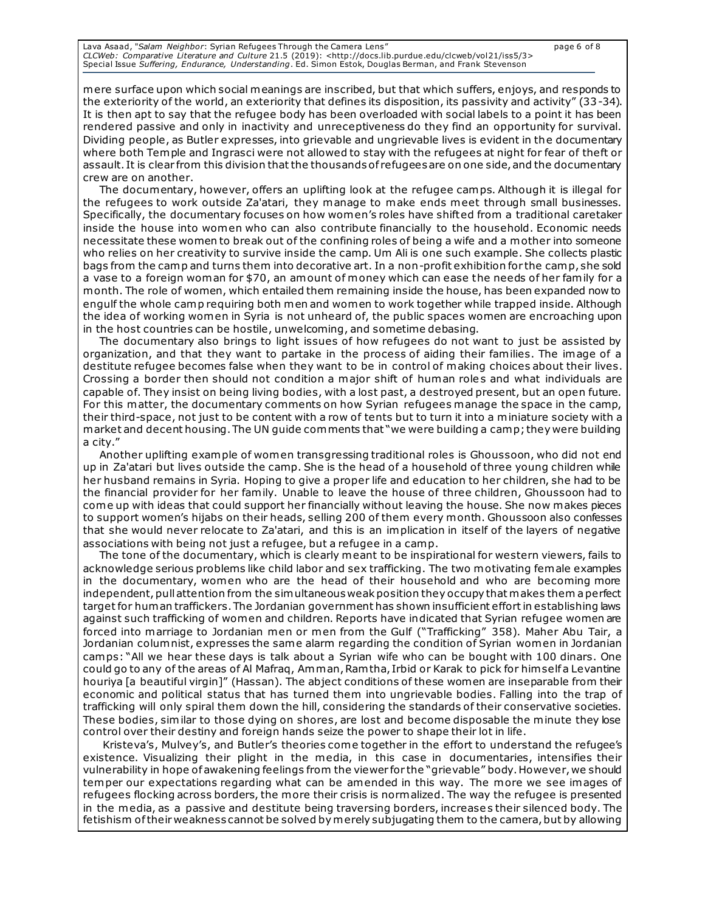Lava Asaad, "*Salam Neighbor*: Syrian Refugees Through the Camera Lens" page 6 of 8 *CLCWeb: Comparative Literature and Culture* 21.5 (2019): <http://docs.lib.purdue.edu/clcweb/vol21/iss5/3> Special Issue *Suffering, Endurance, Understanding*. Ed. Simon Estok, Douglas Berman, and Frank Stevenson

mere surface upon which social meanings are inscribed, but that which suffers, enjoys, and responds to the exteriority of the world, an exteriority that defines its disposition, its passivity and activity" (33-34). It is then apt to say that the refugee body has been overloaded with social labels to a point it has been rendered passive and only in inactivity and unreceptiveness do they find an opportunity for survival. Dividing people, as Butler expresses, into grievable and ungrievable lives is evident in the documentary where both Temple and Ingrasci were not allowed to stay with the refugees at night for fear of theft or assault. It is clear from this division that the thousands of refugees are on one side, and the documentary crew are on another.

The documentary, however, offers an uplifting look at the refugee camps. Although it is illegal for the refugees to work outside Za'atari, they manage to make ends meet through small businesses. Specifically, the documentary focuses on how women's roles have shifted from a traditional caretaker inside the house into women who can also contribute financially to the household. Economic needs necessitate these women to break out of the confining roles of being a wife and a mother into someone who relies on her creativity to survive inside the camp. Um Ali is one such example. She collects plastic bags from the camp and turns them into decorative art. In a non-profit exhibition for the camp, she sold a vase to a foreign woman for \$70, an amount of money which can ease the needs of her family for a month. The role of women, which entailed them remaining inside the house, has been expanded now to engulf the whole camp requiring both men and women to work together while trapped inside. Although the idea of working women in Syria is not unheard of, the public spaces women are encroaching upon in the host countries can be hostile, unwelcoming, and sometime debasing.

The documentary also brings to light issues of how refugees do not want to just be assisted by organization, and that they want to partake in the process of aiding their families. The image of a destitute refugee becomes false when they want to be in control of making choices about their lives. Crossing a border then should not condition a major shift of human role s and what individuals are capable of. They insist on being living bodies, with a lost past, a destroyed present, but an open future. For this matter, the documentary comments on how Syrian refugees manage the space in the camp, their third-space, not just to be content with a row of tents but to turn it into a miniature society with a market and decent housing. The UN guide comments that "we were building a camp; they were building a city."

Another uplifting example of women transgressing traditional roles is Ghoussoon, who did not end up in Za'atari but lives outside the camp. She is the head of a household of three young children while her husband remains in Syria. Hoping to give a proper life and education to her children, she had to be the financial provider for her family. Unable to leave the house of three children, Ghoussoon had to come up with ideas that could support her financially without leaving the house. She now makes pieces to support women's hijabs on their heads, selling 200 of them every month. Ghoussoon also confesses that she would never relocate to Za'atari, and this is an implication in itself of the layers of negative associations with being not just a refugee, but a refugee in a camp.

The tone of the documentary, which is clearly meant to be inspirational for western viewers, fails to acknowledge serious problems like child labor and sex trafficking. The two motivating female examples in the documentary, women who are the head of their household and who are becoming more independent, pull attention from the simultaneous weak position they occupy that makes them a perfect target for human traffickers. The Jordanian government has shown insufficient effort in establishing laws against such trafficking of women and children. Reports have indicated that Syrian refugee women are forced into marriage to Jordanian men or men from the Gulf ("Trafficking" 358). Maher Abu Tair, a Jordanian columnist, expresses the same alarm regarding the condition of Syrian women in Jordanian camps: "All we hear these days is talk about a Syrian wife who can be bought with 100 dinars. One could go to any of the areas of Al Mafraq, Amman, Ram tha, Irbid or Karak to pick for him self a Levantine houriya [a beautiful virgin]" (Hassan). The abject conditions of these women are inseparable from their economic and political status that has turned them into ungrievable bodies. Falling into the trap of trafficking will only spiral them down the hill, considering the standards of their conservative societies. These bodies, similar to those dying on shores, are lost and become disposable the minute they lose control over their destiny and foreign hands seize the power to shape their lot in life.

Kristeva's, Mulvey's, and Butler's theories come together in the effort to understand the refugee's existence. Visualizing their plight in the media, in this case in documentaries, intensifies their vulnerability in hope of awakening feelings from the viewer for the "grievable" body. However, we should temper our expectations regarding what can be amended in this way. The more we see images of refugees flocking across borders, the more their crisis is normalized. The way the refugee is presented in the media, as a passive and destitute being traversing borders, increase s their silenced body. The fetishism of their weakness cannot be solved by merely subjugating them to the camera, but by allowing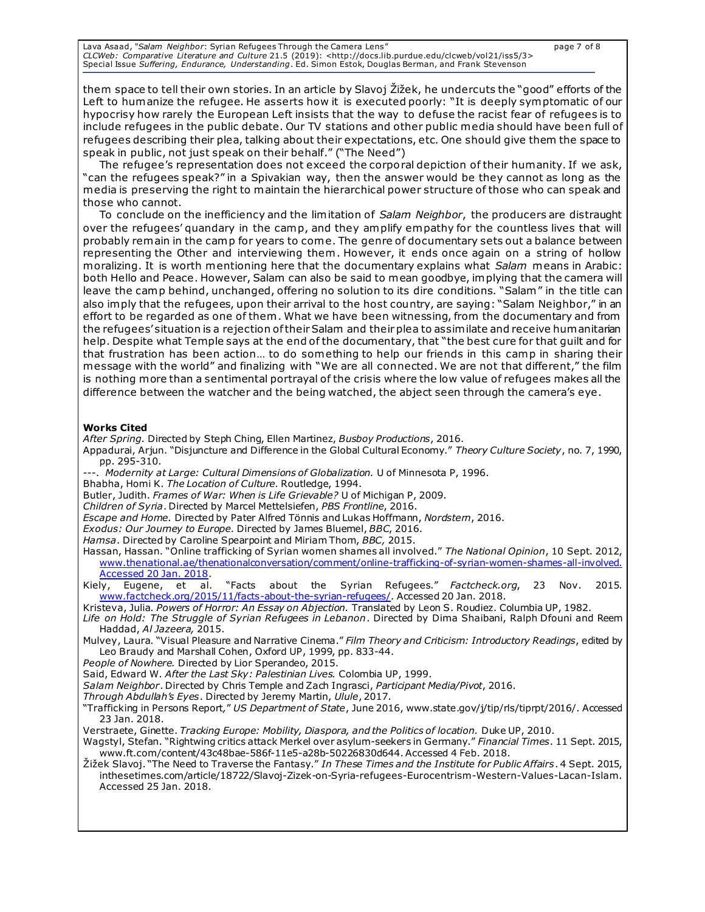Lava Asaad, "*Salam Neighbor*: Syrian Refugees Through the Camera Lens" page 7 of 8 *CLCWeb: Comparative Literature and Culture* 21.5 (2019): <http://docs.lib.purdue.edu/clcweb/vol21/iss5/3> Special Issue *Suffering, Endurance, Understanding*. Ed. Simon Estok, Douglas Berman, and Frank Stevenson

them space to tell their own stories. In an article by Slavoj Žižek, he undercuts the "good" efforts of the Left to humanize the refugee. He asserts how it is executed poorly: "It is deeply symptomatic of our hypocrisy how rarely the European Left insists that the way to defuse the racist fear of refugees is to include refugees in the public debate. Our TV stations and other public media should have been full of refugees describing their plea, talking about their expectations, etc. One should give them the space to speak in public, not just speak on their behalf." ("The Need")

The refugee's representation does not exceed the corporal depiction of their humanity. If we ask, "can the refugees speak?" in a Spivakian way, then the answer would be they cannot as long as the media is preserving the right to maintain the hierarchical power structure of those who can speak and those who cannot.

To conclude on the inefficiency and the limitation of *Salam Neighbor*, the producers are distraught over the refugees' quandary in the camp, and they amplify empathy for the countless lives that will probably remain in the camp for years to come. The genre of documentary sets out a balance between representing the Other and interviewing them . However, it ends once again on a string of hollow moralizing. It is worth mentioning here that the documentary explains what *Salam* means in Arabic: both Hello and Peace. However, Salam can also be said to mean goodbye, implying that the camera will leave the camp behind, unchanged, offering no solution to its dire conditions. "Salam" in the title can also imply that the refugees, upon their arrival to the host country, are saying: "Salam Neighbor," in an effort to be regarded as one of them . What we have been witnessing, from the documentary and from the refugees' situation is a rejection of their Salam and their plea to assimilate and receive humanitarian help. Despite what Temple says at the end of the documentary, that "the best cure for that guilt and for that frustration has been action… to do something to help our friends in this camp in sharing their message with the world" and finalizing with "We are all connected. We are not that different," the film is nothing more than a sentimental portrayal of the crisis where the low value of refugees makes all the difference between the watcher and the being watched, the abject seen through the camera's eye.

#### **Works Cited**

*After Spring.* Directed by Steph Ching, Ellen Martinez, *Busboy Productions*, 2016.

- Appadurai, Arjun. "Disjuncture and Difference in the Global Cultural Economy." *Theory Culture Society*, no. 7, 1990, pp. 295-310.
- ---. *Modernity at Large: Cultural Dimensions of Globalization.* U of Minnesota P, 1996.
- Bhabha, Homi K. *The Location of Culture*. Routledge, 1994.
- Butler, Judith. *Frames of War: When is Life Grievable?* U of Michigan P, 2009.

*Children of Syria*. Directed by Marcel Mettelsiefen, *PBS Frontline*, 2016.

*Escape and Home.* Directed by Pater Alfred Tönnis and Lukas Hoffmann, *Nordstern*, 2016.

*Exodus: Our Journey to Europe*. Directed by James Bluemel, *BBC*, 2016.

*Hamsa*. Directed by Caroline Spearpoint and Miriam Thom, *BBC,* 2015.

Hassan, Hassan. "Online trafficking of Syrian women shames all involved." *The National Opinion*, 10 Sept. 2012, [www.thenational.ae/thenationalconversation/comment/online-trafficking-of-syrian-women-shames-all-involved.](http://www.thenational.ae/thenationalconversation/comment/online-trafficking-of-syrian-women-shames-all-involved.%20Accessed%2020%20Jan.%202018)  [Accessed 20 Jan. 2018.](http://www.thenational.ae/thenationalconversation/comment/online-trafficking-of-syrian-women-shames-all-involved.%20Accessed%2020%20Jan.%202018)

Kiely, Eugene, et al. "Facts about the Syrian Refugees." *Factcheck.org*, 23 Nov. 2015. [www.factcheck.org/2015/11/facts-about-the-syrian-refugees/](http://www.factcheck.org/2015/11/facts-about-the-syrian-refugees/). Accessed 20 Jan. 2018.

Kristeva, Julia. *Powers of Horror: An Essay on Abjection.* Translated by Leon S. Roudiez. Columbia UP, 1982.

*Life on Hold: The Struggle of Syrian Refugees in Lebanon*. Directed by Dima Shaibani, Ralph Dfouni and Reem Haddad, *Al Jazeera,* 2015.

Mulvey, Laura. "Visual Pleasure and Narrative Cinema." *Film Theory and Criticism: Introductory Readings*, edited by Leo Braudy and Marshall Cohen, Oxford UP, 1999, pp. 833-44.

*People of Nowhere.* Directed by Lior Sperandeo, 2015.

Said, Edward W. *After the Last Sky: Palestinian Lives.* Colombia UP, 1999.

*Salam Neighbor*. Directed by Chris Temple and Zach Ingrasci, *Participant Media/Pivot*, 2016.

*Through Abdullah's Eyes*. Directed by Jeremy Martin, *Ulule*, 2017.

"Trafficking in Persons Report*,*" *US Department of State*, June 2016, www.state.gov/j/tip/rls/tiprpt/2016/. Accessed 23 Jan. 2018.

Verstraete, Ginette. *Tracking Europe: Mobility, Diaspora, and the Politics of location.* Duke UP, 2010.

Wagstyl, Stefan. "Rightwing critics attack Merkel over asylum-seekers in Germany." *Financial Times*. 11 Sept. 2015, www.ft.com/content/43c48bae-586f-11e5-a28b-50226830d644. Accessed 4 Feb. 2018.

Žižek Slavoj. "The Need to Traverse the Fantasy." *In These Times and the Institute for Public Affairs*. 4 Sept. 2015, inthesetimes.com/article/18722/Slavoj-Zizek-on-Syria-refugees-Eurocentrism-Western-Values-Lacan-Islam. Accessed 25 Jan. 2018.